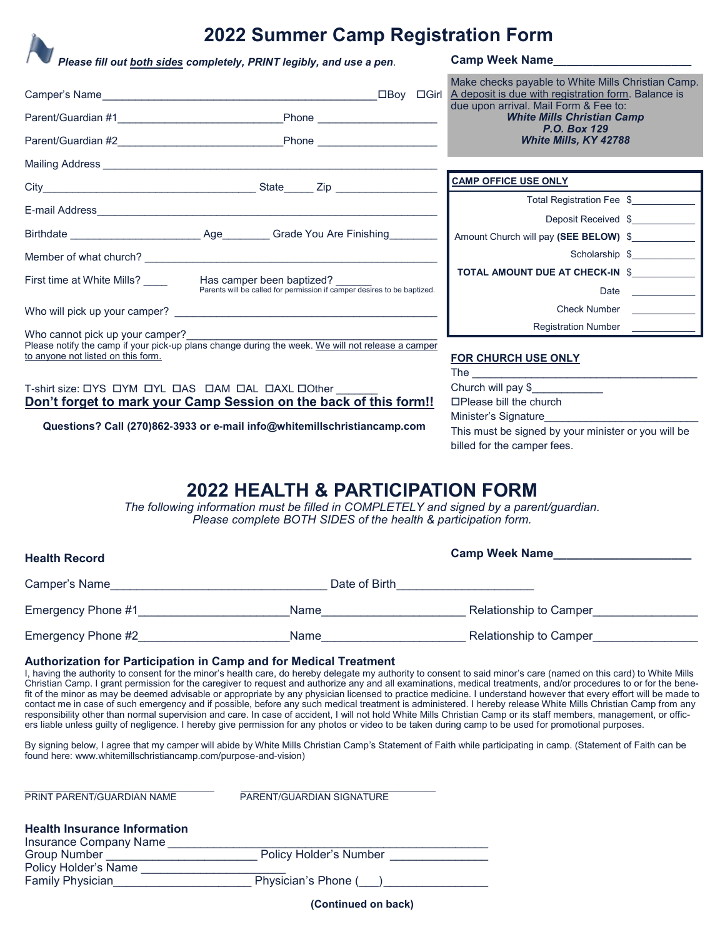## **2022 Summer Camp Registration Form**

*Please fill out both sides completely, PRINT legibly, and use a pen.* **Camp Week Name\_\_\_\_\_\_\_\_\_\_\_\_\_\_\_\_\_\_\_\_\_**

Camper's Name\_\_\_\_\_\_\_\_\_\_\_\_\_\_\_\_\_\_\_\_\_\_\_\_\_\_\_\_\_\_\_\_\_\_\_\_\_\_\_\_\_\_Boy Girl Parent/Guardian #1\_\_\_\_\_\_\_\_\_\_\_\_\_\_\_\_\_\_\_\_\_\_\_\_\_\_\_\_Phone \_\_\_\_\_\_\_\_\_\_\_\_\_\_\_\_\_\_\_\_ Parent/Guardian #2\_\_\_\_\_\_\_\_\_\_\_\_\_\_\_\_\_\_\_\_\_\_\_\_\_\_\_\_Phone \_\_\_\_\_\_\_\_\_\_\_\_\_\_\_\_\_\_\_\_ Mailing Address City City State  $\overline{C}$  State  $\overline{C}$   $\overline{C}$ E-mail Address\_\_\_\_\_\_\_\_\_\_\_\_\_\_\_\_\_\_\_\_\_\_\_\_\_\_\_\_\_\_\_\_\_\_\_\_\_\_\_\_\_\_\_\_\_\_\_\_\_\_\_\_\_\_\_\_\_ Birthdate **Example 3 Exercise Age** Grade You Are Finishing Member of what church? \_\_\_\_ First time at White Mills? \_\_\_\_\_ Has camper been baptized? Parents will be called for permission if camper desires to be baptized. Who will pick up your camper? \_ Who cannot pick up your camper? Please notify the camp if your pick-up plans change during the week. We will not release a camper to anyone not listed on this form. **FOR CHURCH USE ONLY**  $The \t\t\t$ **CAMP OFFICE USE ONLY** Total Registration Fee \$ Deposit Received \$\_\_\_\_\_\_\_\_\_\_\_\_ Amount Church will pay (SEE BELOW) \$ Scholarship \$ TOTAL AMOUNT DUE AT CHECK-IN \$ Date Check Number Registration Number Make checks payable to White Mills Christian Camp. A deposit is due with registration form. Balance is due upon arrival. Mail Form & Fee to: *White Mills Christian Camp P.O. Box 129 White Mills, KY 42788* 

T-shirt size: DYS DYM DYL DAS DAM DAL DAXL DOther **Don't forget to mark your Camp Session on the back of this form!!**

**Questions? Call (270)862-3933 or e-mail info@whitemillschristiancamp.com**

Church will pay \$\_\_\_\_\_\_\_\_\_\_\_\_ Please bill the church Minister's Signature This must be signed by your minister or you will be billed for the camper fees.

# **2022 HEALTH & PARTICIPATION FORM**

*The following information must be filled in COMPLETELY and signed by a parent/guardian. Please complete BOTH SIDES of the health & participation form.*

| <b>Health Record</b> | <b>Camp Week Name</b> |                               |  |
|----------------------|-----------------------|-------------------------------|--|
| Camper's Name        | Date of Birth         |                               |  |
| Emergency Phone #1   | <b>Name</b>           | <b>Relationship to Camper</b> |  |
| Emergency Phone #2   | <b>Name</b>           | <b>Relationship to Camper</b> |  |

### **Authorization for Participation in Camp and for Medical Treatment**

I, having the authority to consent for the minor's health care, do hereby delegate my authority to consent to said minor's care (named on this card) to White Mills Christian Camp. I grant permission for the caregiver to request and authorize any and all examinations, medical treatments, and/or procedures to or for the benefit of the minor as may be deemed advisable or appropriate by any physician licensed to practice medicine. I understand however that every effort will be made to contact me in case of such emergency and if possible, before any such medical treatment is administered. I hereby release White Mills Christian Camp from any responsibility other than normal supervision and care. In case of accident, I will not hold White Mills Christian Camp or its staff members, management, or officers liable unless guilty of negligence. I hereby give permission for any photos or video to be taken during camp to be used for promotional purposes.

By signing below, I agree that my camper will abide by White Mills Christian Camp's Statement of Faith while participating in camp. (Statement of Faith can be found here: www.whitemillschristiancamp.com/purpose-and-vision)

| PRINT PARENT/GUARDIAN NAME                                    | PARENT/GUARDIAN SIGNATURE     |
|---------------------------------------------------------------|-------------------------------|
| <b>Health Insurance Information</b><br>Insurance Company Name |                               |
| <b>Group Number</b>                                           | <b>Policy Holder's Number</b> |
| Policy Holder's Name                                          |                               |
| <b>Family Physician</b>                                       | Physician's Phone (           |

**(Continued on back)**